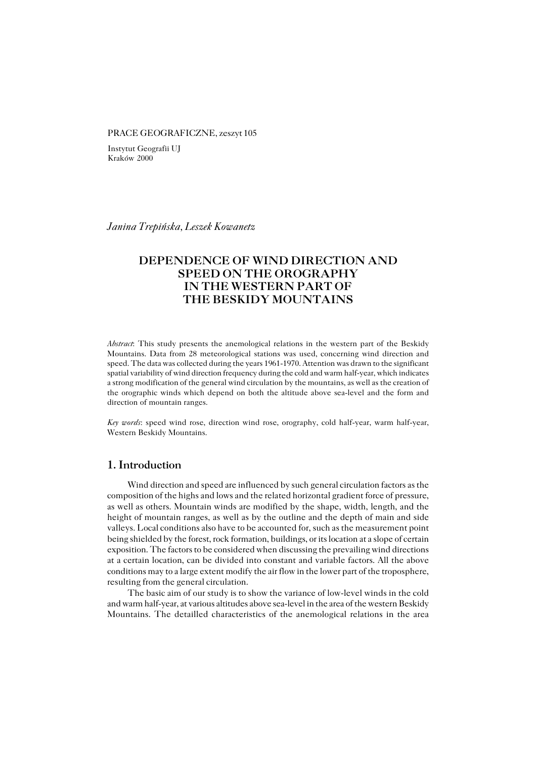#### PRACE GEOGRAFICZNE, zeszyt 105

Instytut Geografii UJ Kraków 2000

*Janina Trepińska, Leszek Kowanetz*

# **DEPENDENCE OF WIND DIRECTION AND SPEED ON THE OROGRAPHY IN THE WESTERN PART OF THE BESKIDY MOUNTAINS**

*Abstract*: This study presents the anemological relations in the western part of the Beskidy Mountains. Data from 28 meteorological stations was used, concerning wind direction and speed. The data was collected during the years 1961−1970. Attention was drawn to the significant spatial variability of wind direction frequency during the cold and warm half−year, which indicates a strong modification of the general wind circulation by the mountains, as well as the creation of the orographic winds which depend on both the altitude above sea−level and the form and direction of mountain ranges.

*Key words*: speed wind rose, direction wind rose, orography, cold half−year, warm half−year, Western Beskidy Mountains.

## **1. Introduction**

Wind direction and speed are influenced by such general circulation factors as the composition of the highs and lows and the related horizontal gradient force of pressure, as well as others. Mountain winds are modified by the shape, width, length, and the height of mountain ranges, as well as by the outline and the depth of main and side valleys. Local conditions also have to be accounted for, such as the measurement point being shielded by the forest, rock formation, buildings, or its location at a slope of certain exposition. The factors to be considered when discussing the prevailing wind directions at a certain location, can be divided into constant and variable factors. All the above conditions may to a large extent modify the air flow in the lower part of the troposphere, resulting from the general circulation.

The basic aim of our study is to show the variance of low−level winds in the cold and warm half−year, at various altitudes above sea−level in the area of the western Beskidy Mountains. The detailled characteristics of the anemological relations in the area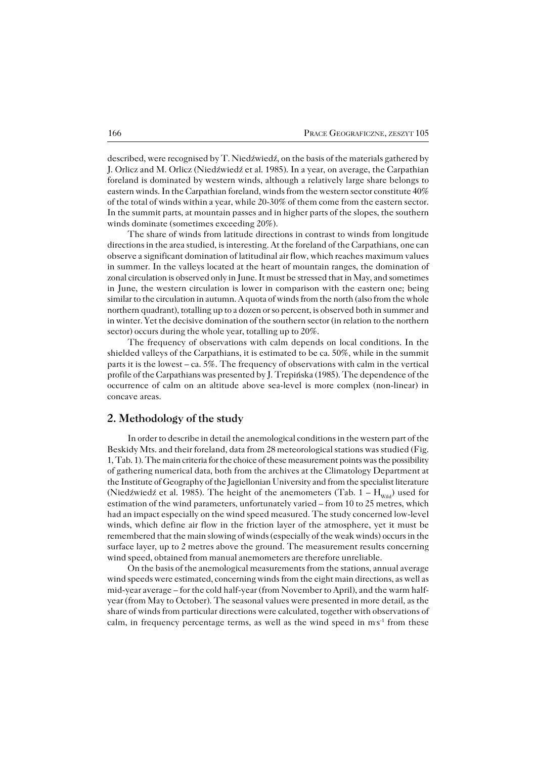described, were recognised by T. Niedźwiedź, on the basis of the materials gathered by J. Orlicz and M. Orlicz (Niedźwiedź et al. 1985). In a year, on average, the Carpathian foreland is dominated by western winds, although a relatively large share belongs to eastern winds. In the Carpathian foreland, winds from the western sector constitute 40% of the total of winds within a year, while 20−30% of them come from the eastern sector. In the summit parts, at mountain passes and in higher parts of the slopes, the southern winds dominate (sometimes exceeding 20%).

The share of winds from latitude directions in contrast to winds from longitude directions in the area studied, is interesting. At the foreland of the Carpathians, one can observe a significant domination of latitudinal air flow, which reaches maximum values in summer. In the valleys located at the heart of mountain ranges, the domination of zonal circulation is observed only in June. It must be stressed that in May, and sometimes in June, the western circulation is lower in comparison with the eastern one; being similar to the circulation in autumn. A quota of winds from the north (also from the whole northern quadrant), totalling up to a dozen or so percent, is observed both in summer and in winter. Yet the decisive domination of the southern sector (in relation to the northern sector) occurs during the whole year, totalling up to 20%.

The frequency of observations with calm depends on local conditions. In the shielded valleys of the Carpathians, it is estimated to be ca. 50%, while in the summit parts it is the lowest – ca. 5%. The frequency of observations with calm in the vertical profile of the Carpathians was presented by J. Trepińska (1985). The dependence of the occurrence of calm on an altitude above sea−level is more complex (non−linear) in concave areas.

### **2. Methodology of the study**

In order to describe in detail the anemological conditions in the western part of the Beskidy Mts. and their foreland, data from 28 meteorological stations was studied (Fig. 1, Tab. 1). The main criteria for the choice of these measurement points was the possibility of gathering numerical data, both from the archives at the Climatology Department at the Institute of Geography of the Jagiellonian University and from the specialist literature (Niedźwiedź et al. 1985). The height of the anemometers (Tab.  $1 - H_{\text{Wild}}$ ) used for estimation of the wind parameters, unfortunately varied – from 10 to 25 metres, which had an impact especially on the wind speed measured. The study concerned low−level winds, which define air flow in the friction layer of the atmosphere, yet it must be remembered that the main slowing of winds (especially of the weak winds) occurs in the surface layer, up to 2 metres above the ground. The measurement results concerning wind speed, obtained from manual anemometers are therefore unreliable.

On the basis of the anemological measurements from the stations, annual average wind speeds were estimated, concerning winds from the eight main directions, as well as mid−year average – for the cold half−year (from November to April), and the warm half− year (from May to October). The seasonal values were presented in more detail, as the share of winds from particular directions were calculated, together with observations of calm, in frequency percentage terms, as well as the wind speed in  $ms<sup>-1</sup>$  from these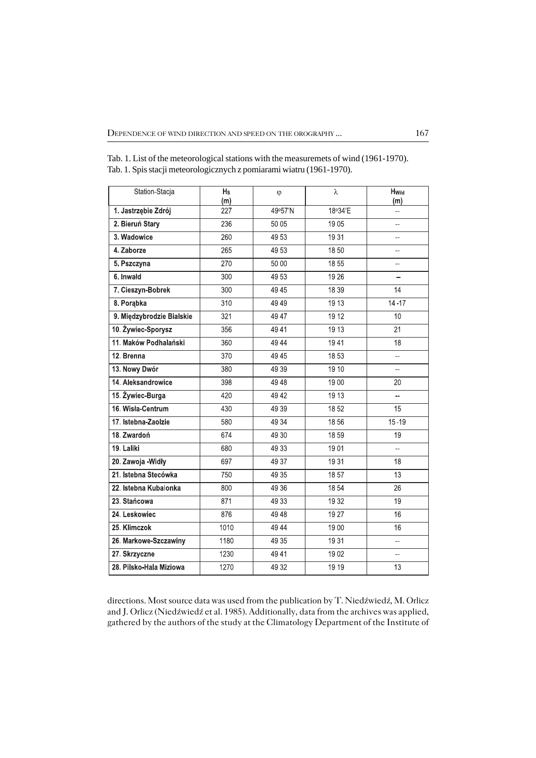| Station-Stacja            | Hs<br>(m) | $\varphi$ | λ       | <b>H</b> wild<br>(m) |
|---------------------------|-----------|-----------|---------|----------------------|
| 1. Jastrzębie Zdrój       | 227       | 49°57'N   | 18°34'E |                      |
| 2. Bieruń Stary           | 236       | 50 05     | 1905    |                      |
| 3. Wadowice               | 260       | 4953      | 1931    | $\equiv$             |
| 4. Zaborze                | 265       | 49 53     | 1850    |                      |
| 5. Pszczyna               | 270       | 50 00     | 1855    |                      |
| 6. Inwałd                 | 300       | 49 53     | 19 26   |                      |
| 7. Cieszyn-Bobrek         | 300       | 49 45     | 18 39   | 14                   |
| 8. Porabka                | 310       | 49 49     | 19 13   | $14 - 17$            |
| 9. Międzybrodzie Bialskie | 321       | 49 47     | 19 12   | 10                   |
| 10. Żywiec-Sporysz        | 356       | 49 41     | 1913    | $\overline{21}$      |
| 11. Maków Podhalański     | 360       | 49 44     | 1941    | 18                   |
| 12. Brenna                | 370       | 49 45     | 1853    |                      |
| 13. Nowy Dwór             | 380       | 49 39     | 19 10   |                      |
| 14. Aleksandrowice        | 398       | 49 48     | 19 00   | 20                   |
| 15. Żywiec-Burga          | 420       | 49 42     | 19 13   | -                    |
| 16. Wisła-Centrum         | 430       | 49 39     | 1852    | 15                   |
| 17. Istebna-Zaolzie       | 580       | 49 34     | 1856    | $15 - 19$            |
| 18. Zwardoń               | 674       | 49 30     | 1859    | 19                   |
| 19. Laliki                | 680       | 49 33     | 1901    | $\equiv$             |
| 20. Zawoja - Widły        | 697       | 49 37     | 1931    | 18                   |
| 21. Istebna Stecówka      | 750       | 49 35     | 1857    | 13                   |
| 22. Istebna Kubalonka     | 800       | 49 36     | 18 54   | 26                   |
| 23. Stańcowa              | 871       | 49 33     | 1932    | 19                   |
| 24. Leskowiec             | 876       | 49 48     | 19 27   | 16                   |
| 25. Klimczok              | 1010      | 49 44     | 1900    | 16                   |
| 26. Markowe-Szczawiny     | 1180      | 49 35     | 1931    | $\equiv$             |
| 27. Skrzyczne             | 1230      | 4941      | 1902    |                      |
| 28. Pilsko-Hala Miziowa   | 1270      | 49 32     | 19 19   | 13                   |

Tab. 1. List of the meteorological stations with the measuremets of wind (1961-1970). Tab. 1. Spis stacji meteorologicznych z pomiarami wiatru (1961-1970).

directions. Most source data was used from the publication by T. Niedźwiedź, M. Orlicz and J. Orlicz (Niedźwiedź et al. 1985). Additionally, data from the archives was applied, gathered by the authors of the study at the Climatology Department of the Institute of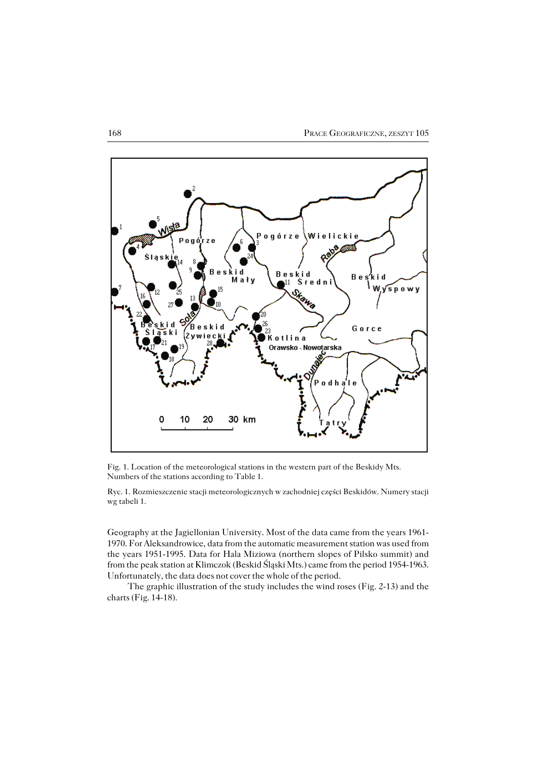

Fig. 1. Location of the meteorological stations in the western part of the Beskidy Mts. Numbers of the stations according to Table 1.

Ryc. 1. Rozmieszczenie stacji meteorologicznych w zachodniej części Beskidów. Numery stacji wg tabeli 1.

Geography at the Jagiellonian University. Most of the data came from the years 1961− 1970. For Aleksandrowice, data from the automatic measurement station was used from the years 1951−1995. Data for Hala Miziowa (northern slopes of Pilsko summit) and from the peak station at Klimczok (Beskid Śląski Mts.) came from the period 1954−1963. Unfortunately, the data does not cover the whole of the period.

The graphic illustration of the study includes the wind roses (Fig. 2−13) and the charts (Fig. 14−18).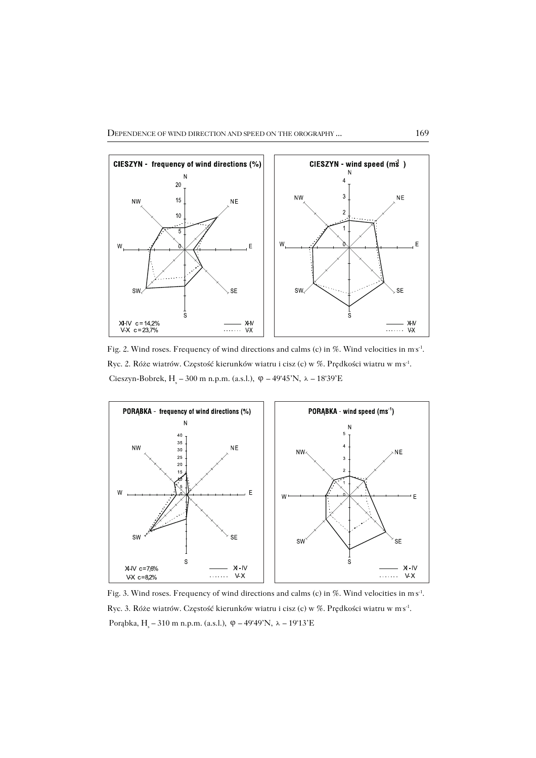

Fig. 2. Wind roses. Frequency of wind directions and calms (c) in %. Wind velocities in ms<sup>-1</sup>. Ryc. 2. Róże wiatrów. Częstość kierunków wiatru i cisz (c) w %. Prędkości wiatru w ms<sup>-1</sup>. Cieszyn-Bobrek, H<sub>s</sub> – 300 m n.p.m. (a.s.l.),  $\varphi$  – 49°45'N,  $\lambda$  – 18°39'E



Fig. 3. Wind roses. Frequency of wind directions and calms (c) in %. Wind velocities in ms<sup>-1</sup>. Ryc. 3. Róże wiatrów. Częstość kierunków wiatru i cisz (c) w %. Prędkości wiatru w ms<sup>-1</sup>. Porąbka, H<sub>s</sub> – 310 m n.p.m. (a.s.l.),  $\varphi$  – 49°49'N,  $\lambda$  – 19°13'E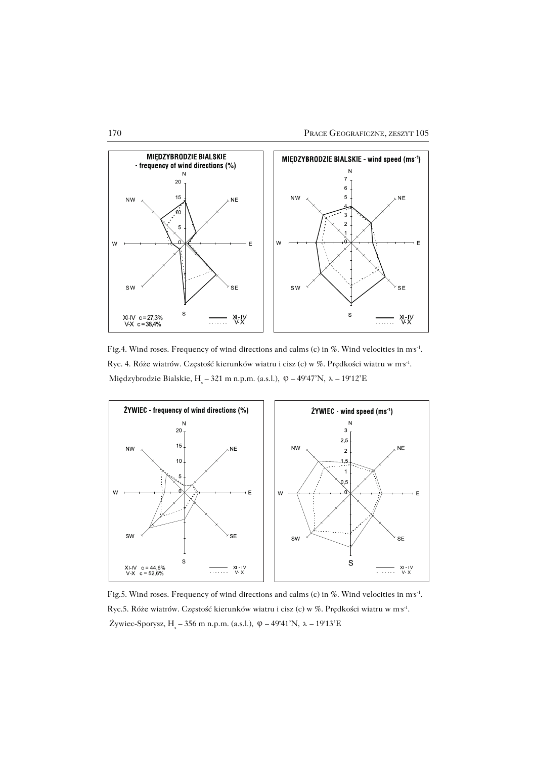

Fig.4. Wind roses. Frequency of wind directions and calms (c) in %. Wind velocities in ms<sup>-1</sup>. Ryc. 4. Róże wiatrów. Częstość kierunków wiatru i cisz (c) w %. Prędkości wiatru w ms<sup>-1</sup>. Międzybrodzie Bialskie,  $H_s - 321$  m n.p.m. (a.s.l.),  $\varphi - 49^{\circ}47^{\prime}N$ ,  $\lambda - 19^{\circ}12^{\prime}E$ 



Fig.5. Wind roses. Frequency of wind directions and calms (c) in %. Wind velocities in ms<sup>-1</sup>. Ryc.5. Róże wiatrów. Częstość kierunków wiatru i cisz (c) w %. Prędkości wiatru w ms<sup>-1</sup>. Žywiec-Sporysz, H<sub>s</sub> – 356 m n.p.m. (a.s.l.),  $\varphi$  – 49°41'N,  $\lambda$  – 19°13'E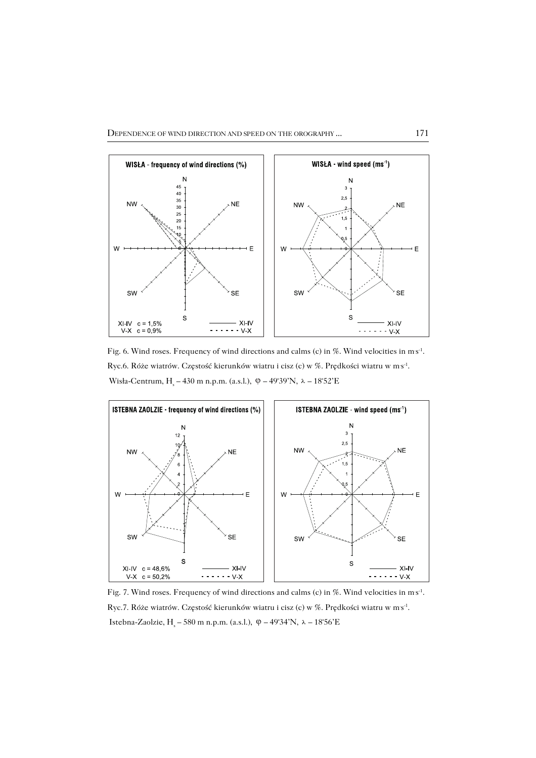

Fig. 6. Wind roses. Frequency of wind directions and calms (c) in %. Wind velocities in ms<sup>-1</sup>. Ryc.6. Róże wiatrów. Częstość kierunków wiatru i cisz (c) w %. Prędkości wiatru w ms<sup>-1</sup>. Wisła-Centrum, H<sub>s</sub> – 430 m n.p.m. (a.s.l.),  $\varphi$  – 49°39'N,  $\lambda$  – 18°52'E



Fig. 7. Wind roses. Frequency of wind directions and calms (c) in %. Wind velocities in ms<sup>-1</sup>. Ryc.7. Róże wiatrów. Częstość kierunków wiatru i cisz (c) w %. Prędkości wiatru w ms<sup>-1</sup>. Istebna-Zaolzie, H<sub>s</sub> – 580 m n.p.m. (a.s.l.), φ – 49°34'N, λ – 18°56'E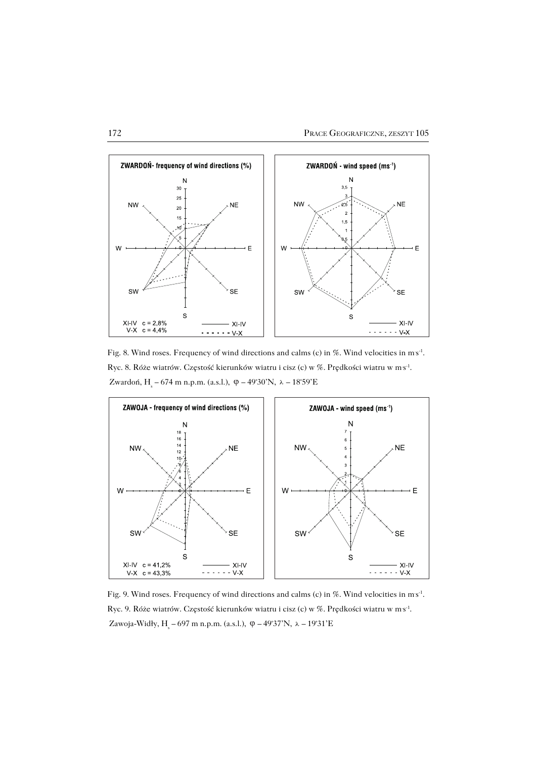

Fig. 8. Wind roses. Frequency of wind directions and calms (c) in %. Wind velocities in ms<sup>-1</sup>. Ryc. 8. Róże wiatrów. Częstość kierunków wiatru i cisz (c) w %. Prędkości wiatru w ms<sup>-1</sup>. Zwardoń, H<sub>s</sub> – 674 m n.p.m. (a.s.l.),  $\varphi$  – 49°30'N,  $\lambda$  – 18°59'E



Fig. 9. Wind roses. Frequency of wind directions and calms (c) in %. Wind velocities in ms<sup>-1</sup>. Ryc. 9. Róże wiatrów. Częstość kierunków wiatru i cisz (c) w %. Prędkości wiatru w ms<sup>-1</sup>. Zawoja-Widły, H<sub>s</sub> – 697 m n.p.m. (a.s.l.), φ – 49°37'N, λ – 19°31'E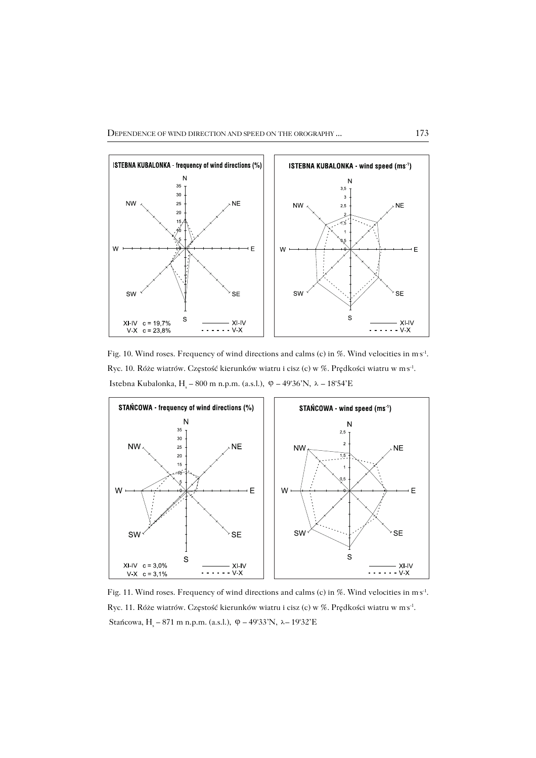

Fig. 10. Wind roses. Frequency of wind directions and calms (c) in %. Wind velocities in ms<sup>-1</sup>. Ryc. 10. Róże wiatrów. Częstość kierunków wiatru i cisz (c) w %. Prędkości wiatru w ms<sup>-1</sup>. Istebna Kubalonka, H<sub>s</sub> – 800 m n.p.m. (a.s.l.),  $\varphi$  – 49°36'N,  $\lambda$  – 18°54'E



Fig. 11. Wind roses. Frequency of wind directions and calms (c) in %. Wind velocities in ms<sup>-1</sup>. Ryc. 11. Róże wiatrów. Częstość kierunków wiatru i cisz (c) w %. Prędkości wiatru w ms<sup>-1</sup>. Stańcowa, H<sub>s</sub> – 871 m n.p.m. (a.s.l.),  $\varphi$  – 49°33'N,  $\lambda$ – 19°32'E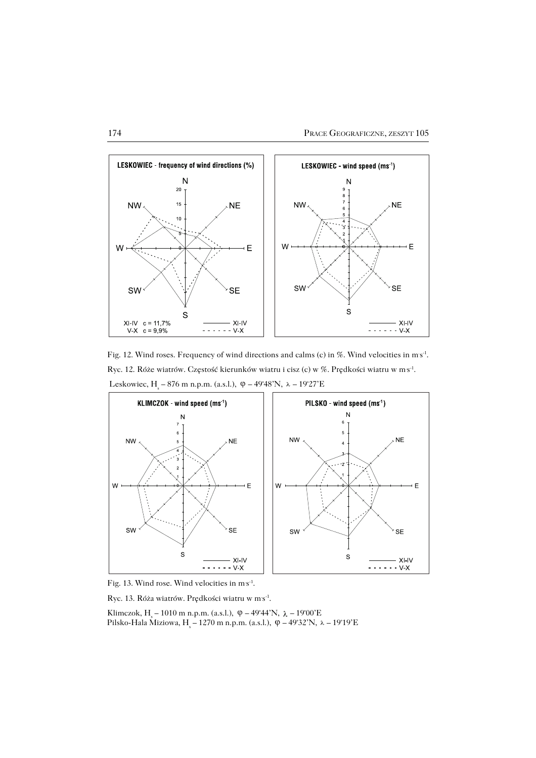

Fig. 12. Wind roses. Frequency of wind directions and calms (c) in %. Wind velocities in ms<sup>-1</sup>. Ryc. 12. Róże wiatrów. Częstość kierunków wiatru i cisz (c) w %. Prędkości wiatru w ms<sup>-1</sup>. Leskowiec, H<sub>s</sub> – 876 m n.p.m. (a.s.l.),  $\varphi$  – 49°48'N,  $\lambda$  – 19°27'E



Fig. 13. Wind rose. Wind velocities in m<sup>s-1</sup>.

Ryc. 13. Róża wiatrów. Prędkości wiatru w ms<sup>-1</sup>.

Klimczok, H<sub>s</sub> – 1010 m n.p.m. (a.s.l.),  $\varphi$  – 49°44'N,  $\lambda$  – 19°00'E Pilsko-Hala Miziowa, H<sub>s</sub> – 1270 m n.p.m. (a.s.l.), φ – 49°32'N, λ – 19°19'E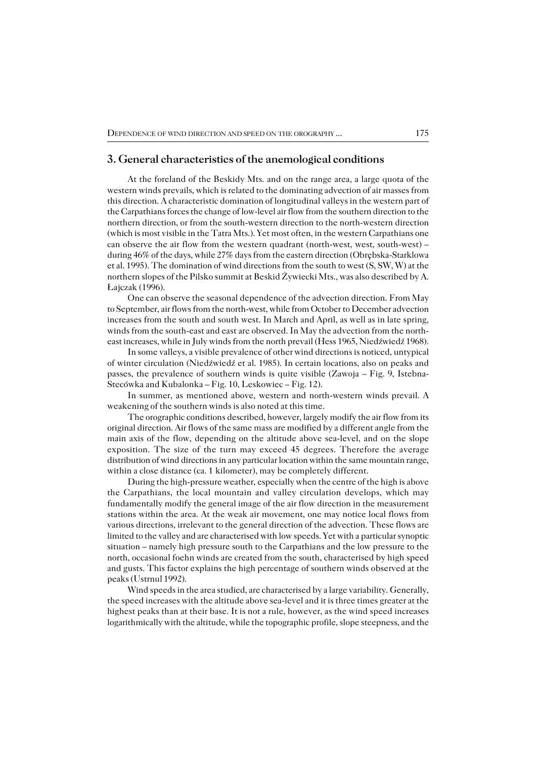### **3. General characteristics of the anemological conditions**

At the foreland of the Beskidy Mts. and on the range area, a large quota of the western winds prevails, which is related to the dominating advection of air masses from this direction. A characteristic domination of longitudinal valleys in the western part of the Carpathians forces the change of low−level air flow from the southern direction to the northern direction, or from the south−western direction to the north−western direction (which is most visible in the Tatra Mts.). Yet most often, in the western Carpathians one can observe the air flow from the western quadrant (north−west, west, south−west) – during 46% of the days, while 27% days from the eastern direction (Obrębska−Starklowa et al. 1995). The domination of wind directions from the south to west (S, SW, W) at the northern slopes of the Pilsko summit at Beskid Żywiecki Mts., was also described by A. Łajczak (1996).

One can observe the seasonal dependence of the advection direction. From May to September, air flows from the north−west, while from October to December advection increases from the south and south west. In March and April, as well as in late spring, winds from the south−east and east are observed. In May the advection from the north− east increases, while in July winds from the north prevail (Hess 1965, Niedźwiedź 1968).

In some valleys, a visible prevalence of other wind directions is noticed, untypical of winter circulation (Niedźwiedź et al. 1985). In certain locations, also on peaks and passes, the prevalence of southern winds is quite visible (Zawoja – Fig. 9, Istebna− Stecówka and Kubalonka – Fig. 10, Leskowiec – Fig. 12).

In summer, as mentioned above, western and north−western winds prevail. A weakening of the southern winds is also noted at this time.

The orographic conditions described, however, largely modify the air flow from its original direction. Air flows of the same mass are modified by a different angle from the main axis of the flow, depending on the altitude above sea−level, and on the slope exposition. The size of the turn may exceed 45 degrees. Therefore the average distribution of wind directions in any particular location within the same mountain range, within a close distance (ca. 1 kilometer), may be completely different.

During the high−pressure weather, especially when the centre of the high is above the Carpathians, the local mountain and valley circulation develops, which may fundamentally modify the general image of the air flow direction in the measurement stations within the area. At the weak air movement, one may notice local flows from various directions, irrelevant to the general direction of the advection. These flows are limited to the valley and are characterised with low speeds. Yet with a particular synoptic situation – namely high pressure south to the Carpathians and the low pressure to the north, occasional foehn winds are created from the south, characterised by high speed and gusts. This factor explains the high percentage of southern winds observed at the peaks (Ustrnul 1992).

Wind speeds in the area studied, are characterised by a large variability. Generally, the speed increases with the altitude above sea−level and it is three times greater at the highest peaks than at their base. It is not a rule, however, as the wind speed increases logarithmically with the altitude, while the topographic profile, slope steepness, and the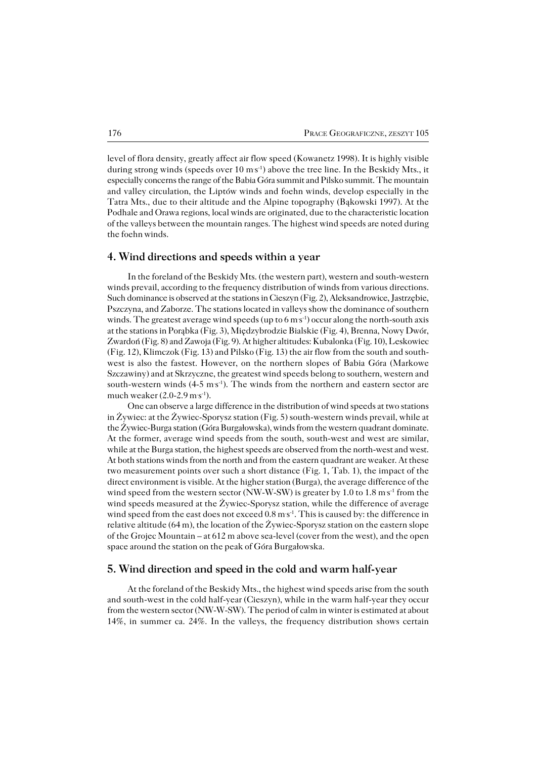level of flora density, greatly affect air flow speed (Kowanetz 1998). It is highly visible during strong winds (speeds over 10 m<sup>s-1</sup>) above the tree line. In the Beskidy Mts., it especially concerns the range of the Babia Góra summit and Pilsko summit. The mountain and valley circulation, the Liptów winds and foehn winds, develop especially in the Tatra Mts., due to their altitude and the Alpine topography (Bąkowski 1997). At the Podhale and Orawa regions, local winds are originated, due to the characteristic location of the valleys between the mountain ranges. The highest wind speeds are noted during the foehn winds.

### **4. Wind directions and speeds within a year**

In the foreland of the Beskidy Mts. (the western part), western and south−western winds prevail, according to the frequency distribution of winds from various directions. Such dominance is observed at the stations in Cieszyn (Fig. 2), Aleksandrowice, Jastrzębie, Pszczyna, and Zaborze. The stations located in valleys show the dominance of southern winds. The greatest average wind speeds (up to 6 ms<sup>-1</sup>) occur along the north-south axis at the stations in Porąbka (Fig. 3), Międzybrodzie Bialskie (Fig. 4), Brenna, Nowy Dwór, Zwardoń (Fig. 8) and Zawoja (Fig. 9). At higher altitudes: Kubalonka (Fig. 10), Leskowiec (Fig. 12), Klimczok (Fig. 13) and Pilsko (Fig. 13) the air flow from the south and south− west is also the fastest. However, on the northern slopes of Babia Góra (Markowe Szczawiny) and at Skrzyczne, the greatest wind speeds belong to southern, western and south-western winds (4-5 ms<sup>-1</sup>). The winds from the northern and eastern sector are much weaker (2.0-2.9 m·s<sup>-1</sup>).

One can observe a large difference in the distribution of wind speeds at two stations in Żywiec: at the Żywiec−Sporysz station (Fig. 5) south−western winds prevail, while at the Żywiec−Burga station (Góra Burgałowska), winds from the western quadrant dominate. At the former, average wind speeds from the south, south−west and west are similar, while at the Burga station, the highest speeds are observed from the north−west and west. At both stations winds from the north and from the eastern quadrant are weaker. At these two measurement points over such a short distance (Fig. 1, Tab. 1), the impact of the direct environment is visible. At the higher station (Burga), the average difference of the wind speed from the western sector (NW-W-SW) is greater by 1.0 to 1.8 m s<sup>-1</sup> from the wind speeds measured at the Żywiec−Sporysz station, while the difference of average wind speed from the east does not exceed 0.8 ms<sup>-1</sup>. This is caused by: the difference in relative altitude (64 m), the location of the Żywiec−Sporysz station on the eastern slope of the Grojec Mountain – at 612 m above sea−level (cover from the west), and the open space around the station on the peak of Góra Burgałowska.

## **5. Wind direction and speed in the cold and warm half−year**

At the foreland of the Beskidy Mts., the highest wind speeds arise from the south and south−west in the cold half−year (Cieszyn), while in the warm half−year they occur from the western sector (NW−W−SW). The period of calm in winter is estimated at about 14%, in summer ca. 24%. In the valleys, the frequency distribution shows certain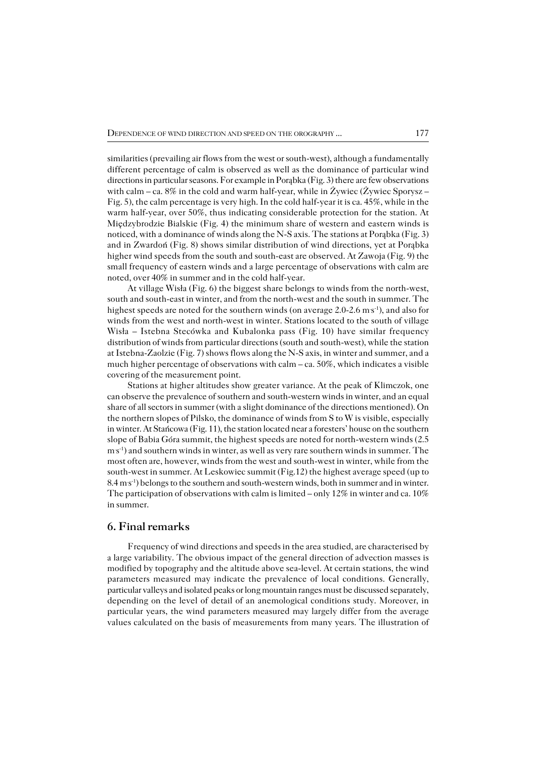similarities (prevailing air flows from the west or south−west), although a fundamentally different percentage of calm is observed as well as the dominance of particular wind directions in particular seasons. For example in Porąbka (Fig. 3) there are few observations with calm – ca. 8% in the cold and warm half−year, while in Żywiec (Żywiec Sporysz – Fig. 5), the calm percentage is very high. In the cold half−year it is ca. 45%, while in the warm half−year, over 50%, thus indicating considerable protection for the station. At Międzybrodzie Bialskie (Fig. 4) the minimum share of western and eastern winds is noticed, with a dominance of winds along the N−S axis. The stations at Porąbka (Fig. 3) and in Zwardoń (Fig. 8) shows similar distribution of wind directions, yet at Porąbka higher wind speeds from the south and south−east are observed. At Zawoja (Fig. 9) the small frequency of eastern winds and a large percentage of observations with calm are noted, over 40% in summer and in the cold half−year.

At village Wisła (Fig. 6) the biggest share belongs to winds from the north−west, south and south−east in winter, and from the north−west and the south in summer. The highest speeds are noted for the southern winds (on average 2.0-2.6 m<sup>s-1</sup>), and also for winds from the west and north−west in winter. Stations located to the south of village Wisła – Istebna Stecówka and Kubalonka pass (Fig. 10) have similar frequency distribution of winds from particular directions (south and south−west), while the station at Istebna−Zaolzie (Fig. 7) shows flows along the N−S axis, in winter and summer, and a much higher percentage of observations with calm – ca. 50%, which indicates a visible covering of the measurement point.

Stations at higher altitudes show greater variance. At the peak of Klimczok, one can observe the prevalence of southern and south−western winds in winter, and an equal share of all sectors in summer (with a slight dominance of the directions mentioned). On the northern slopes of Pilsko, the dominance of winds from S to W is visible, especially in winter. At Stańcowa (Fig. 11), the station located near a foresters' house on the southern slope of Babia Góra summit, the highest speeds are noted for north−western winds (2.5 m<sup>s-1</sup>) and southern winds in winter, as well as very rare southern winds in summer. The most often are, however, winds from the west and south−west in winter, while from the south−west in summer. At Leskowiec summit (Fig.12) the highest average speed (up to 8.4 m<sub>s</sub><sup>1</sup>) belongs to the southern and south-western winds, both in summer and in winter. The participation of observations with calm is limited – only 12% in winter and ca.  $10\%$ in summer.

# **6. Final remarks**

Frequency of wind directions and speeds in the area studied, are characterised by a large variability. The obvious impact of the general direction of advection masses is modified by topography and the altitude above sea−level. At certain stations, the wind parameters measured may indicate the prevalence of local conditions. Generally, particular valleys and isolated peaks or long mountain ranges must be discussed separately, depending on the level of detail of an anemological conditions study. Moreover, in particular years, the wind parameters measured may largely differ from the average values calculated on the basis of measurements from many years. The illustration of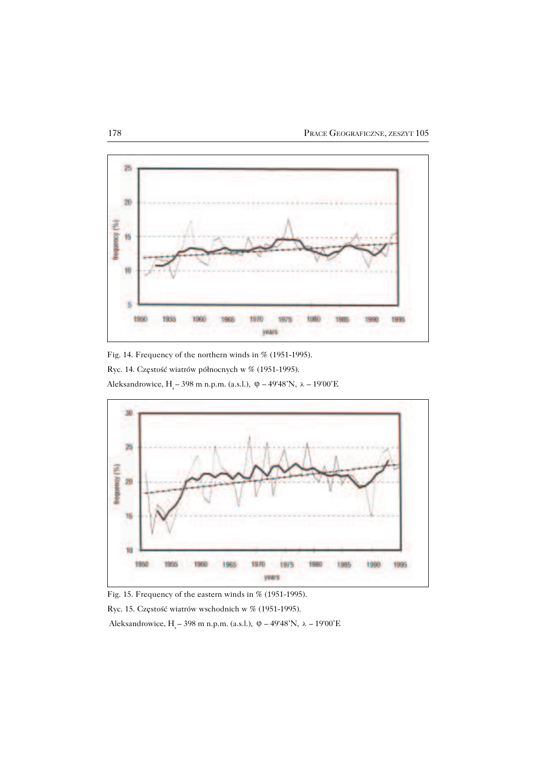

Fig. 14. Frequency of the northern winds in % (1951−1995). Ryc. 14. Częstość wiatrów północnych w % (1951−1995).





Fig. 15. Frequency of the eastern winds in % (1951−1995). Ryc. 15. Częstość wiatrów wschodnich w % (1951−1995). Aleksandrowice, H<sub>s</sub> – 398 m n.p.m. (a.s.l.),  $\varphi$  – 49°48'N,  $\lambda$  – 19°00'E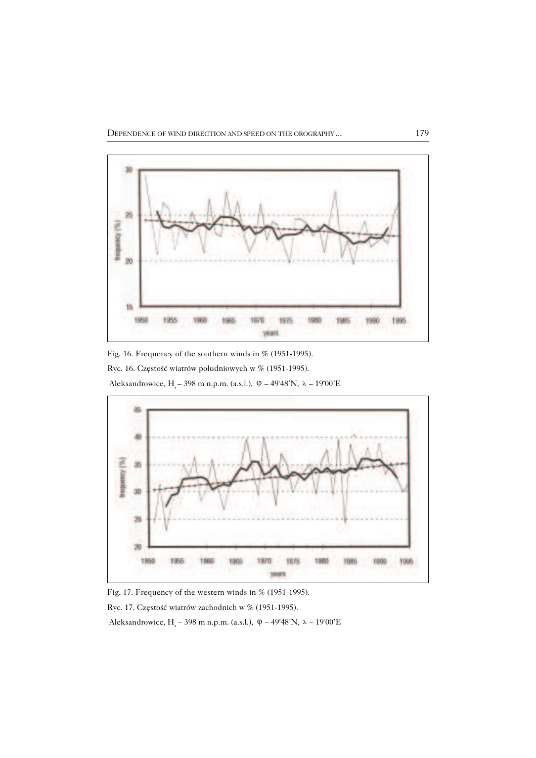

Fig. 16. Frequency of the southern winds in % (1951−1995).

Ryc. 16. Częstość wiatrów południowych w % (1951−1995).

Aleksandrowice, H<sub>s</sub> – 398 m n.p.m. (a.s.l.),  $\varphi$  – 49°48'N,  $\lambda$  – 19°00'E



Fig. 17. Frequency of the western winds in % (1951−1995). Ryc. 17. Częstość wiatrów zachodnich w % (1951−1995).

Aleksandrowice, H<sub>s</sub> – 398 m n.p.m. (a.s.l.),  $\varphi$  – 49°48'N,  $\lambda$  – 19°00'E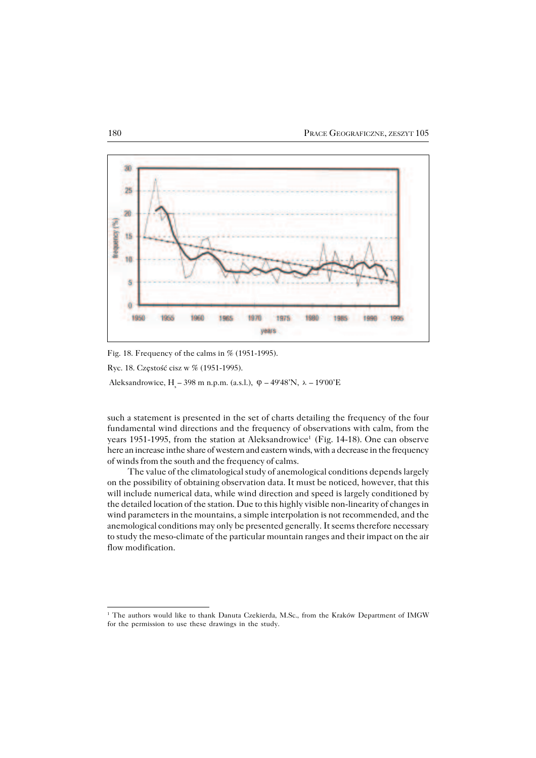

Fig. 18. Frequency of the calms in % (1951−1995).

Ryc. 18. Częstość cisz w % (1951−1995).

Aleksandrowice, H<sub>s</sub> – 398 m n.p.m. (a.s.l.),  $\varphi$  – 49°48'N,  $\lambda$  – 19°00'E

such a statement is presented in the set of charts detailing the frequency of the four fundamental wind directions and the frequency of observations with calm, from the years 1951-1995, from the station at Aleksandrowice<sup>1</sup> (Fig. 14-18). One can observe here an increase inthe share of western and eastern winds, with a decrease in the frequency of winds from the south and the frequency of calms.

The value of the climatological study of anemological conditions depends largely on the possibility of obtaining observation data. It must be noticed, however, that this will include numerical data, while wind direction and speed is largely conditioned by the detailed location of the station. Due to this highly visible non−linearity of changes in wind parameters in the mountains, a simple interpolation is not recommended, and the anemological conditions may only be presented generally. It seems therefore necessary to study the meso−climate of the particular mountain ranges and their impact on the air flow modification.

<sup>&</sup>lt;sup>1</sup> The authors would like to thank Danuta Czekierda, M.Sc., from the Kraków Department of IMGW for the permission to use these drawings in the study.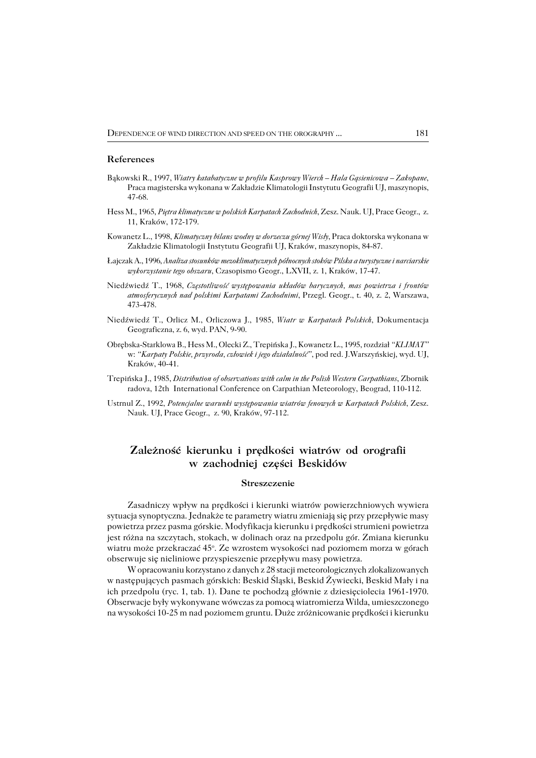#### **References**

- Bąkowski R., 1997, *Wiatry katabatyczne w profilu Kasprowy Wierch Hala Gąsienicowa Zakopane*, Praca magisterska wykonana w Zakładzie Klimatologii Instytutu Geografii UJ, maszynopis, 47−68.
- Hess M., 1965, *Piętra klimatyczne w polskich Karpatach Zachodnich*, Zesz. Nauk. UJ, Prace Geogr., z. 11, Kraków, 172−179.
- Kowanetz L., 1998, *Klimatyczny bilans wodny w dorzeczu górnej Wisły*, Praca doktorska wykonana w Zakładzie Klimatologii Instytutu Geografii UJ, Kraków, maszynopis, 84−87.
- Łajczak A., 1996, *Analiza stosunków mezoklimatycznych północnych stoków Pilska a turystyczne i narciarskie wykorzystanie tego obszaru*, Czasopismo Geogr., LXVII, z. 1, Kraków, 17−47.
- Niedźwiedź T., 1968, *Częstotliwość występowania układów barycznych, mas powietrza i frontów atmosferycznych nad polskimi Karpatami Zachodnimi*, Przegl. Geogr., t. 40, z. 2, Warszawa, 473−478.
- Niedźwiedź T., Orlicz M., Orliczowa J., 1985, *Wiatr w Karpatach Polskich*, Dokumentacja Geograficzna, z. 6, wyd. PAN, 9−90.
- Obrębska−Starklowa B., Hess M., Olecki Z., Trepińska J., Kowanetz L., 1995, rozdział *"KLIMAT"* w: *"Karpaty Polskie, przyroda, człowiek i jego działalność"*, pod red. J.Warszyńskiej, wyd. UJ, Kraków, 40−41.
- Trepińska J., 1985, *Distribution of observations with calm in the Polish Western Carpathians*, Zbornik radova, 12th International Conference on Carpathian Meteorology, Beograd, 110−112.
- Ustrnul Z., 1992, *Potencjalne warunki występowania wiatrów fenowych w Karpatach Polskich*, Zesz. Nauk. UJ, Prace Geogr., z. 90, Kraków, 97−112.

# **Zależność kierunku i prędkości wiatrów od orografii w zachodniej części Beskidów**

#### **Streszczenie**

Zasadniczy wpływ na prędkości i kierunki wiatrów powierzchniowych wywiera sytuacja synoptyczna. Jednakże te parametry wiatru zmieniają się przy przepływie masy powietrza przez pasma górskie. Modyfikacja kierunku i prędkości strumieni powietrza jest różna na szczytach, stokach, w dolinach oraz na przedpolu gór. Zmiana kierunku wiatru może przekraczać 45°. Ze wzrostem wysokości nad poziomem morza w górach obserwuje się nieliniowe przyspieszenie przepływu masy powietrza.

W opracowaniu korzystano z danych z 28 stacji meteorologicznych zlokalizowanych w następujących pasmach górskich: Beskid Śląski, Beskid Żywiecki, Beskid Mały i na ich przedpolu (ryc. 1, tab. 1). Dane te pochodzą głównie z dziesięciolecia 1961−1970. Obserwacje były wykonywane wówczas za pomocą wiatromierza Wilda, umieszczonego na wysokości 10−25 m nad poziomem gruntu. Duże zróżnicowanie prędkości i kierunku